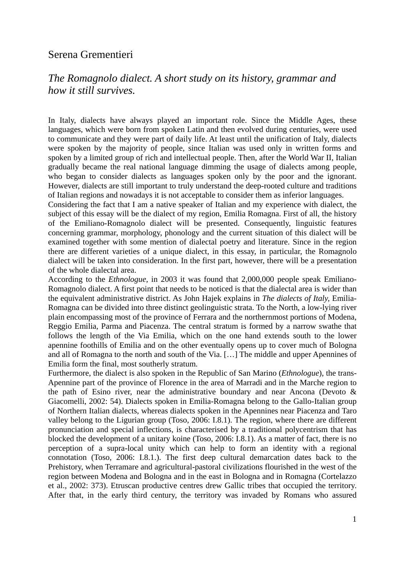### Serena Grementieri

## *The Romagnolo dialect. A short study on its history, grammar and how it still survives.*

In Italy, dialects have always played an important role. Since the Middle Ages, these languages, which were born from spoken Latin and then evolved during centuries, were used to communicate and they were part of daily life. At least until the unification of Italy, dialects were spoken by the majority of people, since Italian was used only in written forms and spoken by a limited group of rich and intellectual people. Then, after the World War II, Italian gradually became the real national language dimming the usage of dialects among people, who began to consider dialects as languages spoken only by the poor and the ignorant. However, dialects are still important to truly understand the deep-rooted culture and traditions of Italian regions and nowadays it is not acceptable to consider them as inferior languages.

Considering the fact that I am a native speaker of Italian and my experience with dialect, the subject of this essay will be the dialect of my region, Emilia Romagna. First of all, the history of the Emiliano-Romagnolo dialect will be presented. Consequently, linguistic features concerning grammar, morphology, phonology and the current situation of this dialect will be examined together with some mention of dialectal poetry and literature. Since in the region there are different varieties of a unique dialect, in this essay, in particular, the Romagnolo dialect will be taken into consideration. In the first part, however, there will be a presentation of the whole dialectal area.

According to the *Ethnologue*, in 2003 it was found that 2,000,000 people speak Emiliano-Romagnolo dialect. A first point that needs to be noticed is that the dialectal area is wider than the equivalent administrative district. As John Hajek explains in *The dialects of Italy,* Emilia-Romagna can be divided into three distinct geolinguistic strata. To the North, a low-lying river plain encompassing most of the province of Ferrara and the northernmost portions of Modena, Reggio Emilia, Parma and Piacenza. The central stratum is formed by a narrow swathe that follows the length of the Via Emilia, which on the one hand extends south to the lower apennine foothills of Emilia and on the other eventually opens up to cover much of Bologna and all of Romagna to the north and south of the Via. […] The middle and upper Apennines of Emilia form the final, most southerly stratum.

Furthermore, the dialect is also spoken in the Republic of San Marino (*Ethnologue*), the trans-Apennine part of the province of Florence in the area of Marradi and in the Marche region to the path of Esino river, near the administrative boundary and near Ancona (Devoto & Giacomelli, 2002: 54). Dialects spoken in Emilia-Romagna belong to the Gallo-Italian group of Northern Italian dialects, whereas dialects spoken in the Apennines near Piacenza and Taro valley belong to the Ligurian group (Toso, 2006: I.8.1). The region, where there are different pronunciation and special inflections, is characterised by a traditional polycentrism that has blocked the development of a unitary koine (Toso, 2006: I.8.1). As a matter of fact, there is no perception of a supra-local unity which can help to form an identity with a regional connotation (Toso, 2006: I.8.1.). The first deep cultural demarcation dates back to the Prehistory, when Terramare and agricultural-pastoral civilizations flourished in the west of the region between Modena and Bologna and in the east in Bologna and in Romagna (Cortelazzo et al., 2002: 373). Etruscan productive centres drew Gallic tribes that occupied the territory. After that, in the early third century, the territory was invaded by Romans who assured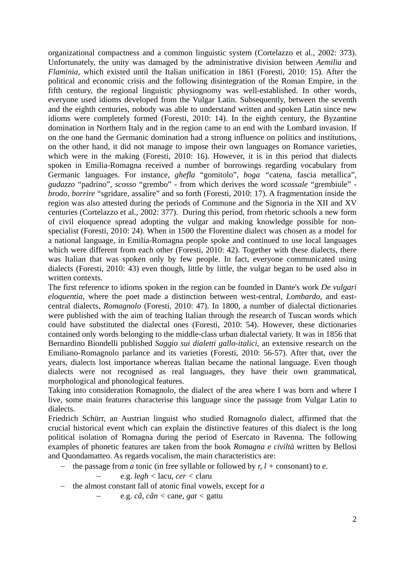organizational compactness and a common linguistic system (Cortelazzo et al., 2002: 373). Unfortunately, the unity was damaged by the administrative division between *Aemilia* and *Flaminia,* which existed until the Italian unification in 1861 (Foresti, 2010: 15). After the political and economic crisis and the following disintegration of the Roman Empire, in the fifth century, the regional linguistic physiognomy was well-established. In other words, everyone used idioms developed from the Vulgar Latin. Subsequently, between the seventh and the eighth centuries, nobody was able to understand written and spoken Latin since new idioms were completely formed (Foresti, 2010: 14). In the eighth century, the Byzantine domination in Northern Italy and in the region came to an end with the Lombard invasion. If on the one hand the Germanic domination had a strong influence on politics and institutions, on the other hand, it did not manage to impose their own languages on Romance varieties, which were in the making (Foresti, 2010: 16). However, it is in this period that dialects spoken in Emilia-Romagna received a number of borrowings regarding vocabulary from Germanic languages. For instance, *ghefla* "gomitolo", *boga "*catena, fascia metallica", *gudazzo* "padrino", *scosso* "grembo" - from which derives the word *scossale* "grembiule" *brodo, borrire* "sgridare, assalire" and so forth (Foresti, 2010: 17). A fragmentation inside the region was also attested during the periods of Commune and the Signoria in the XII and XV centuries (Cortelazzo et al., 2002: 377). During this period, from rhetoric schools a new form of civil eloquence spread adopting the vulgar and making knowledge possible for nonspecialist (Foresti, 2010: 24). When in 1500 the Florentine dialect was chosen as a model for a national language, in Emilia-Romagna people spoke and continued to use local languages which were different from each other (Foresti, 2010: 42). Together with these dialects, there was Italian that was spoken only by few people. In fact, everyone communicated using dialects (Foresti, 2010: 43) even though, little by little, the vulgar began to be used also in written contexts.

The first reference to idioms spoken in the region can be founded in Dante's work *De vulgari eloquentia,* where the poet made a distinction between west-central, *Lombardo,* and eastcentral dialects, *Romagnolo* (Foresti, 2010: 47). In 1800, a number of dialectal dictionaries were published with the aim of teaching Italian through the research of Tuscan words which could have substituted the dialectal ones (Foresti, 2010: 54). However, these dictionaries contained only words belonging to the middle-class urban dialectal variety. It was in 1856 that Bernardino Biondelli published *Saggio sui dialetti gallo-italici,* an extensive research on the Emiliano-Romagnolo parlance and its varieties (Foresti, 2010: 56-57). After that, over the years, dialects lost importance whereas Italian became the national language. Even though dialects were not recognised as real languages, they have their own grammatical, morphological and phonological features.

Taking into consideration Romagnolo, the dialect of the area where I was born and where I live, some main features characterise this language since the passage from Vulgar Latin to dialects.

Friedrich Schürr, an Austrian linguist who studied Romagnolo dialect, affirmed that the crucial historical event which can explain the distinctive features of this dialect is the long political isolation of Romagna during the period of Esercato in Ravenna. The following examples of phonetic features are taken from the book *Romagna e civiltà* written by Bellosi and Quondamatteo. As regards vocalism, the main characteristics are:

- − the passage from *a* tonic (in free syllable or followed by *r, l +* consonant) to *e.* 
	- − e.g. *legh <* lacu, *cer <* claru
- − the almost constant fall of atonic final vowels, except for *a* 
	- − e.g. *câ, cãn <* cane, *gat <* gattu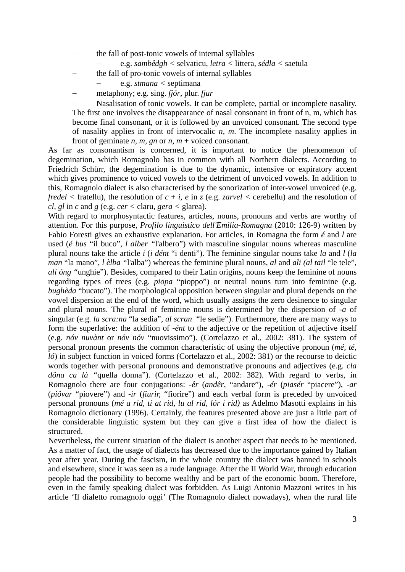the fall of post-tonic vowels of internal syllables

- − e.g. *sambêdgh <* selvaticu, *letra <* littera, *sédla <* saetula
- the fall of pro-tonic vowels of internal syllables
	- − e.g. *stmana <* septimana
- − metaphony; e.g. sing. *fjór*, plur. *fjur*

− Nasalisation of tonic vowels. It can be complete, partial or incomplete nasality. The first one involves the disappearance of nasal consonant in front of n, m, which has become final consonant, or it is followed by an unvoiced consonant. The second type of nasality applies in front of intervocalic *n, m*. The incomplete nasality applies in front of geminate *n, m, gn* or *n, m* + voiced consonant.

As far as consonantism is concerned, it is important to notice the phenomenon of degemination, which Romagnolo has in common with all Northern dialects. According to Friedrich Schürr, the degemination is due to the dynamic, intensive or expiratory accent which gives prominence to voiced vowels to the detriment of unvoiced vowels. In addition to this, Romagnolo dialect is also characterised by the sonorization of inter-vowel unvoiced (e.g. *fredel* < fratellu), the resolution of  $c + i$ , e in *z* (e.g. *zarvel* < cerebellu) and the resolution of *cl, gl* in *c* and *g* (e.g. *cer* < *claru, gera* < *glarea*).

With regard to morphosyntactic features, articles, nouns, pronouns and verbs are worthy of attention. For this purpose, *Profilo linguistico dell'Emilia-Romagna* (2010: 126-9) written by Fabio Foresti gives an exhaustive explanation. For articles, in Romagna the form *é* and *l* are used (*é bus* "il buco", *l alber "*l'albero") with masculine singular nouns whereas masculine plural nouns take the article *i* (*i dént* "i denti"). The feminine singular nouns take *la* and *l* (*la man* "la mano", *l èlba "*l'alba") whereas the feminine plural nouns, *al* and *ali (al tail* "le tele", *ali óng "*unghie"). Besides, compared to their Latin origins, nouns keep the feminine of nouns regarding types of trees (e.g. *piopa* "pioppo") or neutral nouns turn into feminine (e.g. *bughèda* "bucato"). The morphological opposition between singular and plural depends on the vowel dispersion at the end of the word, which usually assigns the zero desinence to singular and plural nouns. The plural of feminine nouns is determined by the dispersion of *-a* of singular (e.g. *la scra:na* "la sedia", *al scran* "le sedie"). Furthermore, there are many ways to form the superlative: the addition of *-ént* to the adjective or the repetition of adjective itself (e.g. *nóv nuvànt* or *nóv nóv* "nuovissimo"). (Cortelazzo et al., 2002: 381). The system of personal pronoun presents the common characteristic of using the objective pronoun (*mé, té, ló*) in subject function in voiced forms (Cortelazzo et al., 2002: 381) or the recourse to deictic words together with personal pronouns and demonstrative pronouns and adjectives (e.g. *cla döna ca là "*quella donna"). (Cortelazzo et al., 2002: 382). With regard to verbs, in Romagnolo there are four conjugations: *-êr* (*andêr*, "andare"), *-ér* (*piasér* "piacere"), *-ar*  (*piövar* "piovere") and *-ìr* (*fiurìr,* "fiorire") and each verbal form is preceded by unvoiced personal pronouns (*mé a rid, ti at rid, lu al rid, lór i rid)* as Adelmo Masotti explains in his Romagnolo dictionary (1996). Certainly, the features presented above are just a little part of the considerable linguistic system but they can give a first idea of how the dialect is structured.

Nevertheless, the current situation of the dialect is another aspect that needs to be mentioned. As a matter of fact, the usage of dialects has decreased due to the importance gained by Italian year after year. During the fascism, in the whole country the dialect was banned in schools and elsewhere, since it was seen as a rude language. After the II World War, through education people had the possibility to become wealthy and be part of the economic boom. Therefore, even in the family speaking dialect was forbidden. As Luigi Antonio Mazzoni writes in his article 'Il dialetto romagnolo oggi' (The Romagnolo dialect nowadays), when the rural life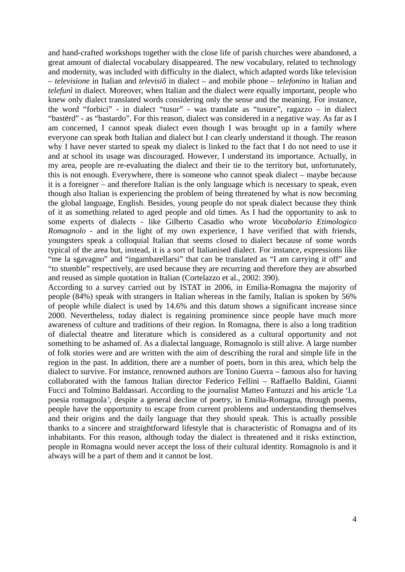and hand-crafted workshops together with the close life of parish churches were abandoned, a great amount of dialectal vocabulary disappeared. The new vocabulary, related to technology and modernity, was included with difficulty in the dialect, which adapted words like television – *televisione* in Italian and *televisiõ* in dialect – and mobile phone – *telefonino* in Italian and *telefunì* in dialect. Moreover, when Italian and the dialect were equally important, people who knew only dialect translated words considering only the sense and the meaning. For instance, the word "forbici" - in dialect "tusur" - was translate as "tusure", ragazzo – in dialect "bastërd" - as "bastardo". For this reason, dialect was considered in a negative way. As far as I am concerned, I cannot speak dialect even though I was brought up in a family where everyone can speak both Italian and dialect but I can clearly understand it though. The reason why I have never started to speak my dialect is linked to the fact that I do not need to use it and at school its usage was discouraged. However, I understand its importance. Actually, in my area, people are re-evaluating the dialect and their tie to the territory but, unfortunately, this is not enough. Everywhere, there is someone who cannot speak dialect – maybe because it is a foreigner – and therefore Italian is the only language which is necessary to speak, even though also Italian is experiencing the problem of being threatened by what is now becoming the global language, English. Besides, young people do not speak dialect because they think of it as something related to aged people and old times. As I had the opportunity to ask to some experts of dialects - like Gilberto Casadio who wrote *Vocabolario Etimologico Romagnolo - and in the light of my own experience, I have verified that with friends,* youngsters speak a colloquial Italian that seems closed to dialect because of some words typical of the area but, instead, it is a sort of Italianised dialect. For instance, expressions like "me la sgavagno" and "ingambarellarsi" that can be translated as "I am carrying it off" and "to stumble" respectively, are used because they are recurring and therefore they are absorbed and reused as simple quotation in Italian (Cortelazzo et al., 2002: 390).

According to a survey carried out by ISTAT in 2006, in Emilia-Romagna the majority of people (84%) speak with strangers in Italian whereas in the family, Italian is spoken by 56% of people while dialect is used by 14.6% and this datum shows a significant increase since 2000. Nevertheless, today dialect is regaining prominence since people have much more awareness of culture and traditions of their region. In Romagna, there is also a long tradition of dialectal theatre and literature which is considered as a cultural opportunity and not something to be ashamed of. As a dialectal language, Romagnolo is still alive. A large number of folk stories were and are written with the aim of describing the rural and simple life in the region in the past. In addition, there are a number of poets, born in this area, which help the dialect to survive. For instance, renowned authors are Tonino Guerra – famous also for having collaborated with the famous Italian director Federico Fellini – Raffaello Baldini, Gianni Fucci and Tolmino Baldassari. According to the journalist Matteo Fantuzzi and his article 'La poesia romagnola*',* despite a general decline of poetry, in Emilia-Romagna, through poems, people have the opportunity to escape from current problems and understanding themselves and their origins and the daily language that they should speak. This is actually possible thanks to a sincere and straightforward lifestyle that is characteristic of Romagna and of its inhabitants. For this reason, although today the dialect is threatened and it risks extinction, people in Romagna would never accept the loss of their cultural identity. Romagnolo is and it always will be a part of them and it cannot be lost.